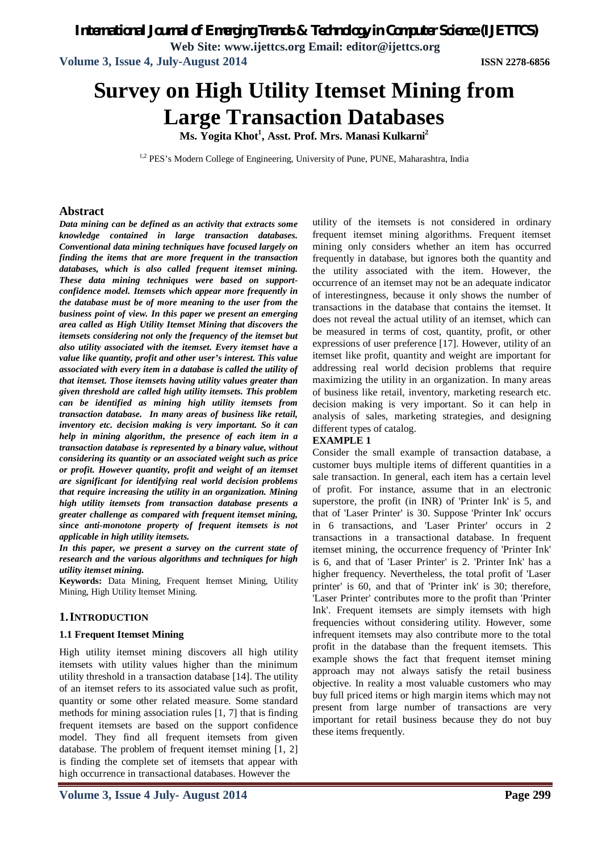*International Journal of Emerging Trends & Technology in Computer Science (IJETTCS)*

**Web Site: www.ijettcs.org Email: editor@ijettcs.org**

**Volume 3, Issue 4, July-August 2014 ISSN 2278-6856**

# **Survey on High Utility Itemset Mining from Large Transaction Databases**

**Ms. Yogita Khot<sup>1</sup> , Asst. Prof. Mrs. Manasi Kulkarni<sup>2</sup>**

<sup>1,2</sup> PES's Modern College of Engineering, University of Pune, PUNE, Maharashtra, India

#### **Abstract**

*Data mining can be defined as an activity that extracts some knowledge contained in large transaction databases. Conventional data mining techniques have focused largely on finding the items that are more frequent in the transaction databases, which is also called frequent itemset mining. These data mining techniques were based on supportconfidence model. Itemsets which appear more frequently in the database must be of more meaning to the user from the business point of view. In this paper we present an emerging area called as High Utility Itemset Mining that discovers the itemsets considering not only the frequency of the itemset but also utility associated with the itemset. Every itemset have a value like quantity, profit and other user's interest. This value associated with every item in a database is called the utility of that itemset. Those itemsets having utility values greater than given threshold are called high utility itemsets. This problem can be identified as mining high utility itemsets from transaction database. In many areas of business like retail, inventory etc. decision making is very important. So it can help in mining algorithm, the presence of each item in a transaction database is represented by a binary value, without considering its quantity or an associated weight such as price or profit. However quantity, profit and weight of an itemset are significant for identifying real world decision problems that require increasing the utility in an organization. Mining high utility itemsets from transaction database presents a greater challenge as compared with frequent itemset mining, since anti-monotone property of frequent itemsets is not applicable in high utility itemsets.* 

*In this paper, we present a survey on the current state of research and the various algorithms and techniques for high utility itemset mining.*

**Keywords:** Data Mining, Frequent Itemset Mining, Utility Mining, High Utility Itemset Mining.

#### **1.INTRODUCTION**

#### **1.1 Frequent Itemset Mining**

High utility itemset mining discovers all high utility itemsets with utility values higher than the minimum utility threshold in a transaction database [14]. The utility of an itemset refers to its associated value such as profit, quantity or some other related measure. Some standard methods for mining association rules [1, 7] that is finding frequent itemsets are based on the support confidence model. They find all frequent itemsets from given database. The problem of frequent itemset mining [1, 2] is finding the complete set of itemsets that appear with high occurrence in transactional databases. However the

utility of the itemsets is not considered in ordinary frequent itemset mining algorithms. Frequent itemset mining only considers whether an item has occurred frequently in database, but ignores both the quantity and the utility associated with the item. However, the occurrence of an itemset may not be an adequate indicator of interestingness, because it only shows the number of transactions in the database that contains the itemset. It does not reveal the actual utility of an itemset, which can be measured in terms of cost, quantity, profit, or other expressions of user preference [17]. However, utility of an itemset like profit, quantity and weight are important for addressing real world decision problems that require maximizing the utility in an organization. In many areas of business like retail, inventory, marketing research etc. decision making is very important. So it can help in analysis of sales, marketing strategies, and designing different types of catalog.

#### **EXAMPLE 1**

Consider the small example of transaction database, a customer buys multiple items of different quantities in a sale transaction. In general, each item has a certain level of profit. For instance, assume that in an electronic superstore, the profit (in INR) of 'Printer Ink' is 5, and that of 'Laser Printer' is 30. Suppose 'Printer Ink' occurs in 6 transactions, and 'Laser Printer' occurs in 2 transactions in a transactional database. In frequent itemset mining, the occurrence frequency of 'Printer Ink' is 6, and that of 'Laser Printer' is 2. 'Printer Ink' has a higher frequency. Nevertheless, the total profit of 'Laser printer' is 60, and that of 'Printer ink' is 30; therefore, 'Laser Printer' contributes more to the profit than 'Printer Ink'. Frequent itemsets are simply itemsets with high frequencies without considering utility. However, some infrequent itemsets may also contribute more to the total profit in the database than the frequent itemsets. This example shows the fact that frequent itemset mining approach may not always satisfy the retail business objective. In reality a most valuable customers who may buy full priced items or high margin items which may not present from large number of transactions are very important for retail business because they do not buy these items frequently.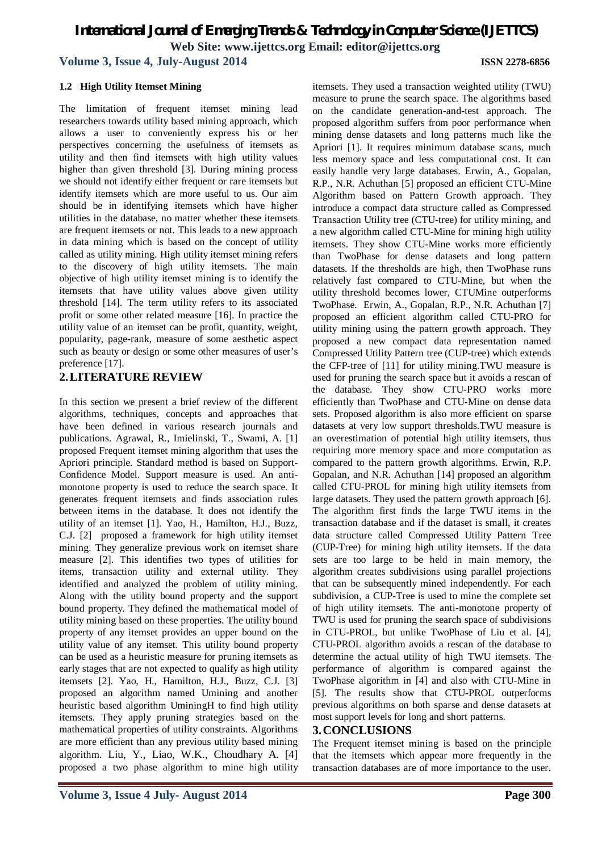# *International Journal of Emerging Trends & Technology in Computer Science (IJETTCS)* **Web Site: www.ijettcs.org Email: editor@ijettcs.org**

**Volume 3, Issue 4, July-August 2014 ISSN 2278-6856**

#### **1.2 High Utility Itemset Mining**

The limitation of frequent itemset mining lead researchers towards utility based mining approach, which allows a user to conveniently express his or her perspectives concerning the usefulness of itemsets as utility and then find itemsets with high utility values higher than given threshold [3]. During mining process we should not identify either frequent or rare itemsets but identify itemsets which are more useful to us. Our aim should be in identifying itemsets which have higher utilities in the database, no matter whether these itemsets are frequent itemsets or not. This leads to a new approach in data mining which is based on the concept of utility called as utility mining. High utility itemset mining refers to the discovery of high utility itemsets. The main objective of high utility itemset mining is to identify the itemsets that have utility values above given utility threshold [14]. The term utility refers to its associated profit or some other related measure [16]. In practice the utility value of an itemset can be profit, quantity, weight, popularity, page-rank, measure of some aesthetic aspect such as beauty or design or some other measures of user's preference [17].

### **2.LITERATURE REVIEW**

In this section we present a brief review of the different algorithms, techniques, concepts and approaches that have been defined in various research journals and publications. Agrawal, R., Imielinski, T., Swami, A. [1] proposed Frequent itemset mining algorithm that uses the Apriori principle. Standard method is based on Support-Confidence Model. Support measure is used. An antimonotone property is used to reduce the search space. It generates frequent itemsets and finds association rules between items in the database. It does not identify the utility of an itemset [1]. Yao, H., Hamilton, H.J., Buzz, C.J. [2] proposed a framework for high utility itemset mining. They generalize previous work on itemset share measure [2]. This identifies two types of utilities for items, transaction utility and external utility. They identified and analyzed the problem of utility mining. Along with the utility bound property and the support bound property. They defined the mathematical model of utility mining based on these properties. The utility bound property of any itemset provides an upper bound on the utility value of any itemset. This utility bound property can be used as a heuristic measure for pruning itemsets as early stages that are not expected to qualify as high utility itemsets [2]. Yao, H., Hamilton, H.J., Buzz, C.J. [3] proposed an algorithm named Umining and another heuristic based algorithm UminingH to find high utility itemsets. They apply pruning strategies based on the mathematical properties of utility constraints. Algorithms are more efficient than any previous utility based mining algorithm. Liu, Y., Liao, W.K., Choudhary A. [4] proposed a two phase algorithm to mine high utility itemsets. They used a transaction weighted utility (TWU) measure to prune the search space. The algorithms based on the candidate generation-and-test approach. The proposed algorithm suffers from poor performance when mining dense datasets and long patterns much like the Apriori [1]. It requires minimum database scans, much less memory space and less computational cost. It can easily handle very large databases. Erwin, A., Gopalan, R.P., N.R. Achuthan [5] proposed an efficient CTU-Mine Algorithm based on Pattern Growth approach. They introduce a compact data structure called as Compressed Transaction Utility tree (CTU-tree) for utility mining, and a new algorithm called CTU-Mine for mining high utility itemsets. They show CTU-Mine works more efficiently than TwoPhase for dense datasets and long pattern datasets. If the thresholds are high, then TwoPhase runs relatively fast compared to CTU-Mine, but when the utility threshold becomes lower, CTUMine outperforms TwoPhase. Erwin, A., Gopalan, R.P., N.R. Achuthan [7] proposed an efficient algorithm called CTU-PRO for utility mining using the pattern growth approach. They proposed a new compact data representation named Compressed Utility Pattern tree (CUP-tree) which extends the CFP-tree of [11] for utility mining.TWU measure is used for pruning the search space but it avoids a rescan of the database. They show CTU-PRO works more efficiently than TwoPhase and CTU-Mine on dense data sets. Proposed algorithm is also more efficient on sparse datasets at very low support thresholds.TWU measure is an overestimation of potential high utility itemsets, thus requiring more memory space and more computation as compared to the pattern growth algorithms. Erwin, R.P. Gopalan, and N.R. Achuthan [14] proposed an algorithm called CTU-PROL for mining high utility itemsets from large datasets. They used the pattern growth approach [6]. The algorithm first finds the large TWU items in the transaction database and if the dataset is small, it creates data structure called Compressed Utility Pattern Tree (CUP-Tree) for mining high utility itemsets. If the data sets are too large to be held in main memory, the algorithm creates subdivisions using parallel projections that can be subsequently mined independently. For each subdivision, a CUP-Tree is used to mine the complete set of high utility itemsets. The anti-monotone property of TWU is used for pruning the search space of subdivisions in CTU-PROL, but unlike TwoPhase of Liu et al. [4], CTU-PROL algorithm avoids a rescan of the database to determine the actual utility of high TWU itemsets. The performance of algorithm is compared against the TwoPhase algorithm in [4] and also with CTU-Mine in [5]. The results show that CTU-PROL outperforms previous algorithms on both sparse and dense datasets at most support levels for long and short patterns.

#### **3.CONCLUSIONS**

The Frequent itemset mining is based on the principle that the itemsets which appear more frequently in the transaction databases are of more importance to the user.